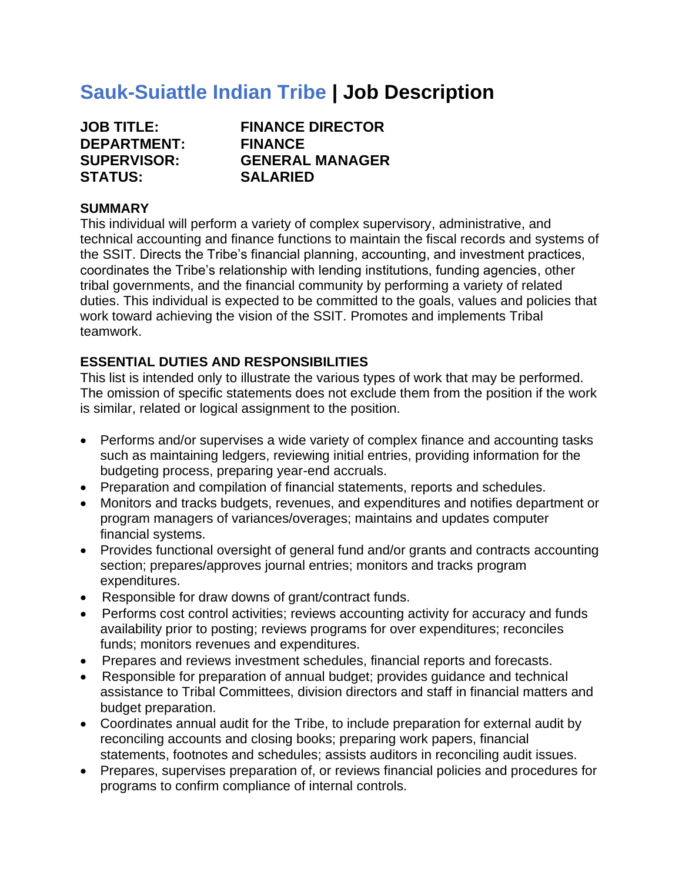# **Sauk-Suiattle Indian Tribe | Job Description**

| <b>JOB TITLE:</b>  |
|--------------------|
| <b>DEPARTMENT:</b> |
| <b>SUPERVISOR:</b> |
| <b>STATUS:</b>     |

**FINANCE DIRECTOR FINANCE SUPERVISOR: GENERAL MANAGER SALARIED** 

## **SUMMARY**

This individual will perform a variety of complex supervisory, administrative, and technical accounting and finance functions to maintain the fiscal records and systems of the SSIT. Directs the Tribe's financial planning, accounting, and investment practices, coordinates the Tribe's relationship with lending institutions, funding agencies, other tribal governments, and the financial community by performing a variety of related duties. This individual is expected to be committed to the goals, values and policies that work toward achieving the vision of the SSIT. Promotes and implements Tribal teamwork.

## **ESSENTIAL DUTIES AND RESPONSIBILITIES**

This list is intended only to illustrate the various types of work that may be performed. The omission of specific statements does not exclude them from the position if the work is similar, related or logical assignment to the position.

- Performs and/or supervises a wide variety of complex finance and accounting tasks such as maintaining ledgers, reviewing initial entries, providing information for the budgeting process, preparing year-end accruals.
- Preparation and compilation of financial statements, reports and schedules.
- Monitors and tracks budgets, revenues, and expenditures and notifies department or program managers of variances/overages; maintains and updates computer financial systems.
- Provides functional oversight of general fund and/or grants and contracts accounting section; prepares/approves journal entries; monitors and tracks program expenditures.
- Responsible for draw downs of grant/contract funds.
- Performs cost control activities; reviews accounting activity for accuracy and funds availability prior to posting; reviews programs for over expenditures; reconciles funds; monitors revenues and expenditures.
- Prepares and reviews investment schedules, financial reports and forecasts.
- Responsible for preparation of annual budget; provides guidance and technical assistance to Tribal Committees, division directors and staff in financial matters and budget preparation.
- Coordinates annual audit for the Tribe, to include preparation for external audit by reconciling accounts and closing books; preparing work papers, financial statements, footnotes and schedules; assists auditors in reconciling audit issues.
- Prepares, supervises preparation of, or reviews financial policies and procedures for programs to confirm compliance of internal controls.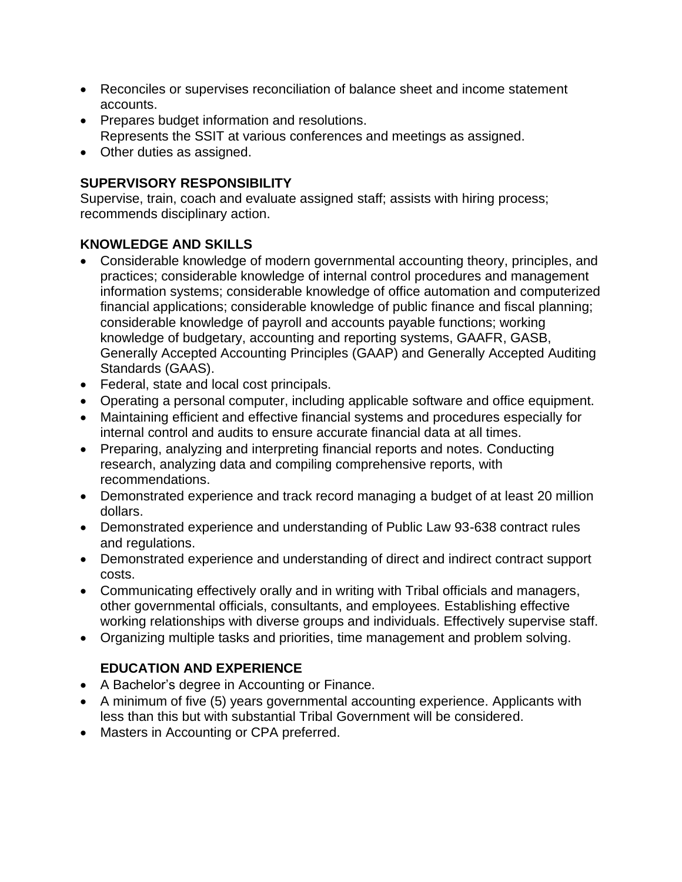- Reconciles or supervises reconciliation of balance sheet and income statement accounts.
- Prepares budget information and resolutions. Represents the SSIT at various conferences and meetings as assigned.
- Other duties as assigned.

# **SUPERVISORY RESPONSIBILITY**

Supervise, train, coach and evaluate assigned staff; assists with hiring process; recommends disciplinary action.

# **KNOWLEDGE AND SKILLS**

- Considerable knowledge of modern governmental accounting theory, principles, and practices; considerable knowledge of internal control procedures and management information systems; considerable knowledge of office automation and computerized financial applications; considerable knowledge of public finance and fiscal planning; considerable knowledge of payroll and accounts payable functions; working knowledge of budgetary, accounting and reporting systems, GAAFR, GASB, Generally Accepted Accounting Principles (GAAP) and Generally Accepted Auditing Standards (GAAS).
- Federal, state and local cost principals.
- Operating a personal computer, including applicable software and office equipment.
- Maintaining efficient and effective financial systems and procedures especially for internal control and audits to ensure accurate financial data at all times.
- Preparing, analyzing and interpreting financial reports and notes. Conducting research, analyzing data and compiling comprehensive reports, with recommendations.
- Demonstrated experience and track record managing a budget of at least 20 million dollars.
- Demonstrated experience and understanding of Public Law 93-638 contract rules and regulations.
- Demonstrated experience and understanding of direct and indirect contract support costs.
- Communicating effectively orally and in writing with Tribal officials and managers, other governmental officials, consultants, and employees. Establishing effective working relationships with diverse groups and individuals. Effectively supervise staff.
- Organizing multiple tasks and priorities, time management and problem solving.

# **EDUCATION AND EXPERIENCE**

- A Bachelor's degree in Accounting or Finance.
- A minimum of five (5) years governmental accounting experience. Applicants with less than this but with substantial Tribal Government will be considered.
- Masters in Accounting or CPA preferred.